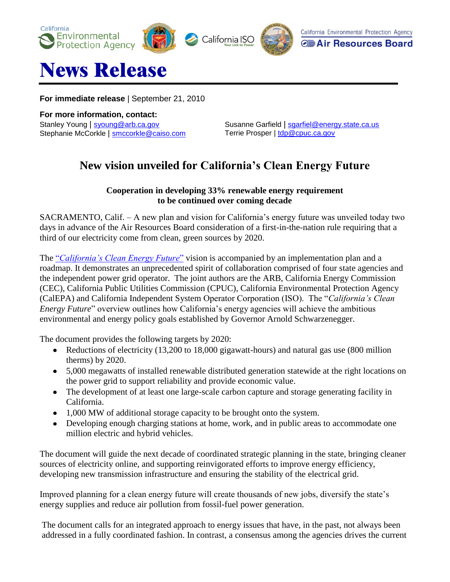



## News Release

**For immediate release** | September 21, 2010

**For more information, contact:** Stanley Young | [syoung@arb.ca.gov](mailto:syoung@arb.ca.gov) Stephanie McCorkle | [smccorkle@caiso.com](mailto:smccorkle@caiso.com)

Susanne Garfield | [sgarfiel@energy.state.ca.us](mailto:sgarfiel@energy.state.ca.us) Terrie Prosper | [tdp@cpuc.ca.gov](mailto:tdp@cpuc.ca.gov)

## **New vision unveiled for California's Clean Energy Future**

## **Cooperation in developing 33% renewable energy requirement to be continued over coming decade**

SACRAMENTO, Calif. – A new plan and vision for California's energy future was unveiled today two days in advance of the Air Resources Board consideration of a first-in-the-nation rule requiring that a third of our electricity come from clean, green sources by 2020.

The "*[California's Clean Energy Future](http://www.climatechange.ca.gov/energy/index.html)*" vision is accompanied by an implementation plan and a roadmap. It demonstrates an unprecedented spirit of collaboration comprised of four state agencies and the independent power grid operator. The joint authors are the ARB, California Energy Commission (CEC), California Public Utilities Commission (CPUC), California Environmental Protection Agency (CalEPA) and California Independent System Operator Corporation (ISO). The "*California's Clean Energy Future*" overview outlines how California's energy agencies will achieve the ambitious environmental and energy policy goals established by Governor Arnold Schwarzenegger.

The document provides the following targets by 2020:

- Reductions of electricity (13,200 to 18,000 gigawatt-hours) and natural gas use (800 million therms) by 2020.
- 5,000 megawatts of installed renewable distributed generation statewide at the right locations on the power grid to support reliability and provide economic value.
- The development of at least one large-scale carbon capture and storage generating facility in California.
- 1,000 MW of additional storage capacity to be brought onto the system.
- $\bullet$ Developing enough charging stations at home, work, and in public areas to accommodate one million electric and hybrid vehicles.

The document will guide the next decade of coordinated strategic planning in the state, bringing cleaner sources of electricity online, and supporting reinvigorated efforts to improve energy efficiency, developing new transmission infrastructure and ensuring the stability of the electrical grid.

Improved planning for a clean energy future will create thousands of new jobs, diversify the state's energy supplies and reduce air pollution from fossil-fuel power generation.

The document calls for an integrated approach to energy issues that have, in the past, not always been addressed in a fully coordinated fashion. In contrast, a consensus among the agencies drives the current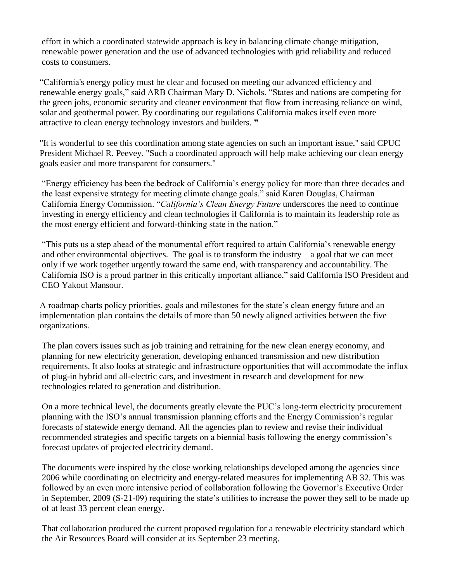effort in which a coordinated statewide approach is key in balancing climate change mitigation, renewable power generation and the use of advanced technologies with grid reliability and reduced costs to consumers.

"California's energy policy must be clear and focused on meeting our advanced efficiency and renewable energy goals," said ARB Chairman Mary D. Nichols. "States and nations are competing for the green jobs, economic security and cleaner environment that flow from increasing reliance on wind, solar and geothermal power. By coordinating our regulations California makes itself even more attractive to clean energy technology investors and builders. **"**

"It is wonderful to see this coordination among state agencies on such an important issue," said CPUC President Michael R. Peevey. "Such a coordinated approach will help make achieving our clean energy goals easier and more transparent for consumers."

"Energy efficiency has been the bedrock of California's energy policy for more than three decades and the least expensive strategy for meeting climate change goals." said Karen Douglas, Chairman California Energy Commission. "*California's Clean Energy Future* underscores the need to continue investing in energy efficiency and clean technologies if California is to maintain its leadership role as the most energy efficient and forward-thinking state in the nation."

"This puts us a step ahead of the monumental effort required to attain California's renewable energy and other environmental objectives. The goal is to transform the industry  $-$  a goal that we can meet only if we work together urgently toward the same end, with transparency and accountability. The California ISO is a proud partner in this critically important alliance," said California ISO President and CEO Yakout Mansour.

A roadmap charts policy priorities, goals and milestones for the state's clean energy future and an implementation plan contains the details of more than 50 newly aligned activities between the five organizations.

The plan covers issues such as job training and retraining for the new clean energy economy, and planning for new electricity generation, developing enhanced transmission and new distribution requirements. It also looks at strategic and infrastructure opportunities that will accommodate the influx of plug-in hybrid and all-electric cars, and investment in research and development for new technologies related to generation and distribution.

On a more technical level, the documents greatly elevate the PUC's long-term electricity procurement planning with the ISO's annual transmission planning efforts and the Energy Commission's regular forecasts of statewide energy demand. All the agencies plan to review and revise their individual recommended strategies and specific targets on a biennial basis following the energy commission's forecast updates of projected electricity demand.

The documents were inspired by the close working relationships developed among the agencies since 2006 while coordinating on electricity and energy-related measures for implementing AB 32. This was followed by an even more intensive period of collaboration following the Governor's Executive Order in September, 2009 (S-21-09) requiring the state's utilities to increase the power they sell to be made up of at least 33 percent clean energy.

That collaboration produced the current proposed regulation for a renewable electricity standard which the Air Resources Board will consider at its September 23 meeting.